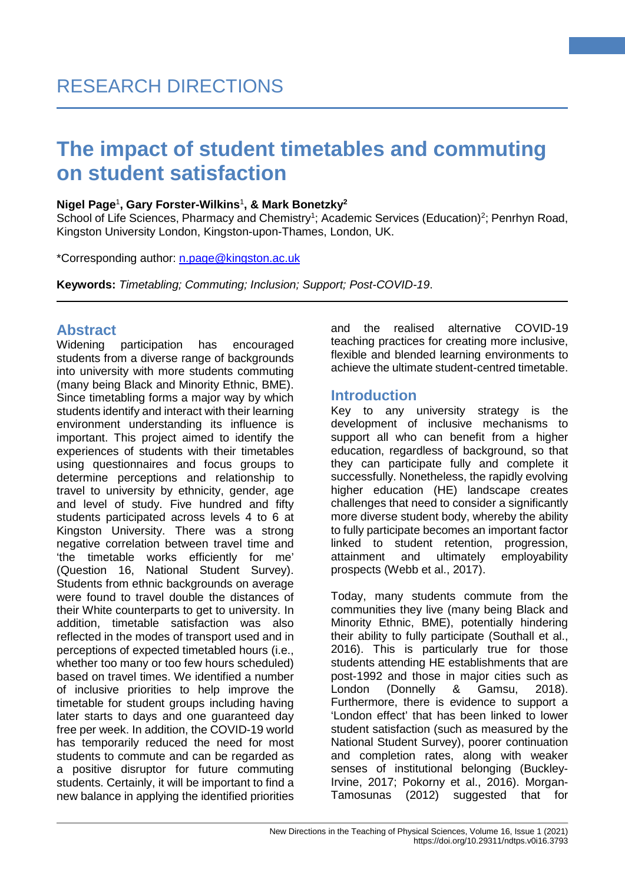#### **Nigel Page**<sup>1</sup> **, Gary Forster-Wilkins**<sup>1</sup> **, & Mark Bonetzky2**

School of Life Sciences, Pharmacy and Chemistry<sup>1</sup>; Academic Services (Education)<sup>2</sup>; Penrhyn Road, Kingston University London, Kingston-upon-Thames, London, UK.

\*Corresponding author: [n.page@kingston.ac.uk](mailto:n.page@kingston.ac.uk) 

**Keywords:** *Timetabling; Commuting; Inclusion; Support; Post-COVID-19*.

# **Abstract**

participation has encouraged students from a diverse range of backgrounds into university with more students commuting (many being Black and Minority Ethnic, BME). Since timetabling forms a major way by which students identify and interact with their learning environment understanding its influence is important. This project aimed to identify the experiences of students with their timetables using questionnaires and focus groups to determine perceptions and relationship to travel to university by ethnicity, gender, age and level of study. Five hundred and fifty students participated across levels 4 to 6 at Kingston University. There was a strong negative correlation between travel time and 'the timetable works efficiently for me' (Question 16, National Student Survey). Students from ethnic backgrounds on average were found to travel double the distances of their White counterparts to get to university. In addition, timetable satisfaction was also reflected in the modes of transport used and in perceptions of expected timetabled hours (i.e., whether too many or too few hours scheduled) based on travel times. We identified a number of inclusive priorities to help improve the timetable for student groups including having later starts to days and one guaranteed day free per week. In addition, the COVID-19 world has temporarily reduced the need for most students to commute and can be regarded as a positive disruptor for future commuting students. Certainly, it will be important to find a new balance in applying the identified priorities and the realised alternative COVID-19 teaching practices for creating more inclusive, flexible and blended learning environments to achieve the ultimate student-centred timetable.

**1**

# **Introduction**

Key to any university strategy is the development of inclusive mechanisms to support all who can benefit from a higher education, regardless of background, so that they can participate fully and complete it successfully. Nonetheless, the rapidly evolving higher education (HE) landscape creates challenges that need to consider a significantly more diverse student body, whereby the ability to fully participate becomes an important factor linked to student retention, progression, attainment and ultimately employability prospects (Webb et al., 2017).

Today, many students commute from the communities they live (many being Black and Minority Ethnic, BME), potentially hindering their ability to fully participate (Southall et al., 2016). This is particularly true for those students attending HE establishments that are post-1992 and those in major cities such as London (Donnelly & Gamsu, 2018). Furthermore, there is evidence to support a 'London effect' that has been linked to lower student satisfaction (such as measured by the National Student Survey), poorer continuation and completion rates, along with weaker senses of institutional belonging (Buckley-Irvine, 2017; Pokorny et al., 2016). Morgan-Tamosunas (2012) suggested that for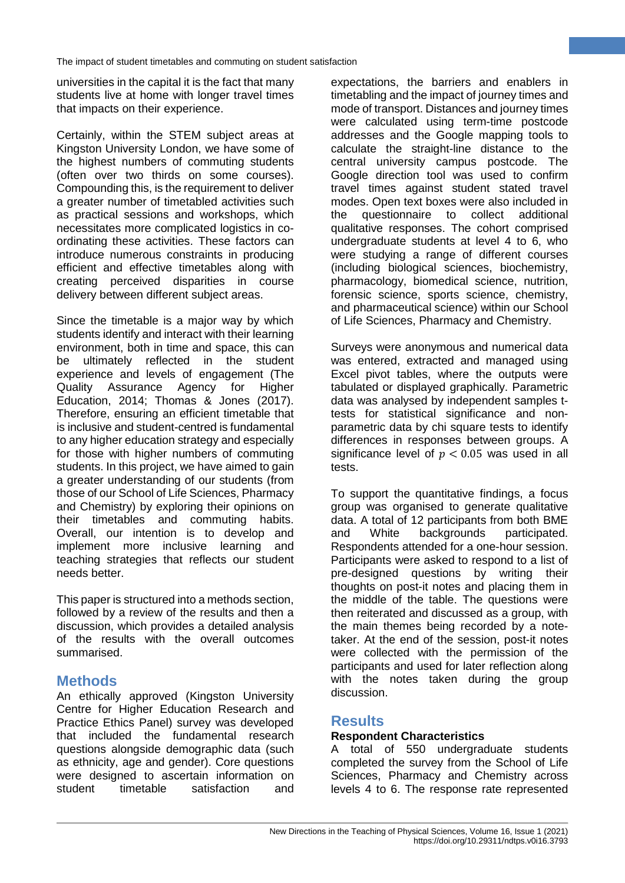universities in the capital it is the fact that many students live at home with longer travel times that impacts on their experience.

Certainly, within the STEM subject areas at Kingston University London, we have some of the highest numbers of commuting students (often over two thirds on some courses). Compounding this, is the requirement to deliver a greater number of timetabled activities such as practical sessions and workshops, which necessitates more complicated logistics in coordinating these activities. These factors can introduce numerous constraints in producing efficient and effective timetables along with creating perceived disparities in course delivery between different subject areas.

Since the timetable is a major way by which students identify and interact with their learning environment, both in time and space, this can be ultimately reflected in the student experience and levels of engagement (The Quality Assurance Agency for Higher Education, 2014; Thomas & Jones (2017). Therefore, ensuring an efficient timetable that is inclusive and student-centred is fundamental to any higher education strategy and especially for those with higher numbers of commuting students. In this project, we have aimed to gain a greater understanding of our students (from those of our School of Life Sciences, Pharmacy and Chemistry) by exploring their opinions on their timetables and commuting habits. Overall, our intention is to develop and implement more inclusive learning and teaching strategies that reflects our student needs better.

This paper is structured into a methods section, followed by a review of the results and then a discussion, which provides a detailed analysis of the results with the overall outcomes summarised.

# **Methods**

An ethically approved (Kingston University Centre for Higher Education Research and Practice Ethics Panel) survey was developed that included the fundamental research questions alongside demographic data (such as ethnicity, age and gender). Core questions were designed to ascertain information on student timetable satisfaction and

expectations, the barriers and enablers in timetabling and the impact of journey times and mode of transport. Distances and journey times were calculated using term-time postcode addresses and the Google mapping tools to calculate the straight-line distance to the central university campus postcode. The Google direction tool was used to confirm travel times against student stated travel modes. Open text boxes were also included in the questionnaire to collect additional qualitative responses. The cohort comprised undergraduate students at level 4 to 6, who were studying a range of different courses (including biological sciences, biochemistry, pharmacology, biomedical science, nutrition, forensic science, sports science, chemistry, and pharmaceutical science) within our School of Life Sciences, Pharmacy and Chemistry.

**2**

Surveys were anonymous and numerical data was entered, extracted and managed using Excel pivot tables, where the outputs were tabulated or displayed graphically. Parametric data was analysed by independent samples ttests for statistical significance and nonparametric data by chi square tests to identify differences in responses between groups. A significance level of  $p < 0.05$  was used in all tests.

To support the quantitative findings, a focus group was organised to generate qualitative data. A total of 12 participants from both BME<br>and White backgrounds participated. and White backgrounds participated. Respondents attended for a one-hour session. Participants were asked to respond to a list of pre-designed questions by writing their thoughts on post-it notes and placing them in the middle of the table. The questions were then reiterated and discussed as a group, with the main themes being recorded by a notetaker. At the end of the session, post-it notes were collected with the permission of the participants and used for later reflection along with the notes taken during the group discussion.

# **Results**

#### **Respondent Characteristics**

A total of 550 undergraduate students completed the survey from the School of Life Sciences, Pharmacy and Chemistry across levels 4 to 6. The response rate represented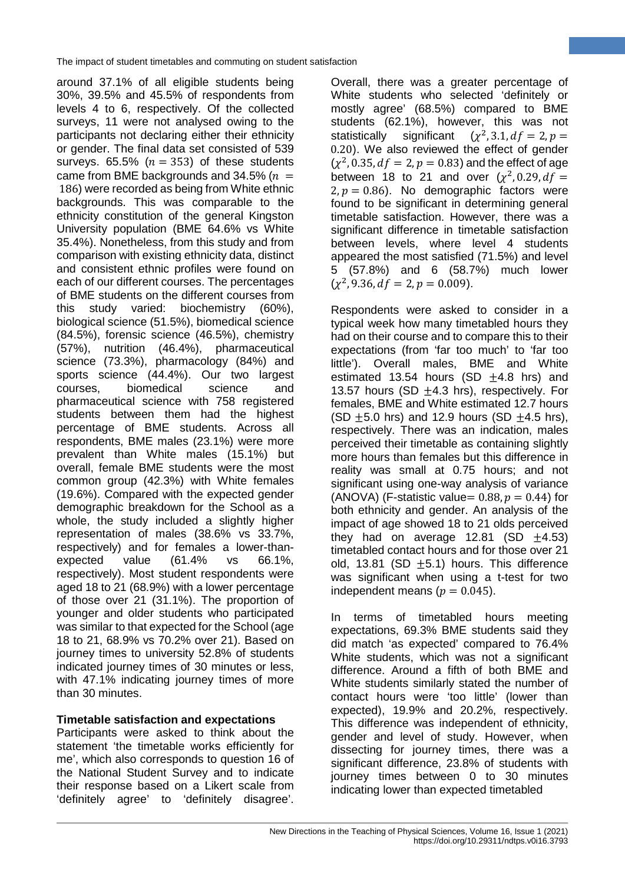around 37.1% of all eligible students being 30%, 39.5% and 45.5% of respondents from levels 4 to 6, respectively. Of the collected surveys, 11 were not analysed owing to the participants not declaring either their ethnicity or gender. The final data set consisted of 539 surveys. 65.5% ( $n = 353$ ) of these students came from BME backgrounds and 34.5% ( $n =$ 186) were recorded as being from White ethnic backgrounds. This was comparable to the ethnicity constitution of the general Kingston University population (BME 64.6% vs White 35.4%). Nonetheless, from this study and from comparison with existing ethnicity data, distinct and consistent ethnic profiles were found on each of our different courses. The percentages of BME students on the different courses from this study varied: biochemistry (60%), biological science (51.5%), biomedical science (84.5%), forensic science (46.5%), chemistry (57%), nutrition (46.4%), pharmaceutical science (73.3%), pharmacology (84%) and sports science (44.4%). Our two largest courses, biomedical science and pharmaceutical science with 758 registered students between them had the highest percentage of BME students. Across all respondents, BME males (23.1%) were more prevalent than White males (15.1%) but overall, female BME students were the most common group (42.3%) with White females (19.6%). Compared with the expected gender demographic breakdown for the School as a whole, the study included a slightly higher representation of males (38.6% vs 33.7%, respectively) and for females a lower-thanexpected value (61.4% vs 66.1%, respectively). Most student respondents were aged 18 to 21 (68.9%) with a lower percentage of those over 21 (31.1%). The proportion of younger and older students who participated was similar to that expected for the School (age 18 to 21, 68.9% vs 70.2% over 21). Based on journey times to university 52.8% of students indicated journey times of 30 minutes or less, with 47.1% indicating journey times of more than 30 minutes.

### **Timetable satisfaction and expectations**

Participants were asked to think about the statement 'the timetable works efficiently for me', which also corresponds to question 16 of the National Student Survey and to indicate their response based on a Likert scale from 'definitely agree' to 'definitely disagree'. Overall, there was a greater percentage of White students who selected 'definitely or mostly agree' (68.5%) compared to BME students (62.1%), however, this was not statistically significant  $(x^2, 3.1, df = 2, p =$ 0.20). We also reviewed the effect of gender  $(y^2, 0.35, df = 2, p = 0.83)$  and the effect of age between 18 to 21 and over  $(\chi^2, 0.29, df =$  $2. p = 0.86$ ). No demographic factors were found to be significant in determining general timetable satisfaction. However, there was a significant difference in timetable satisfaction between levels, where level 4 students appeared the most satisfied (71.5%) and level 5 (57.8%) and 6 (58.7%) much lower  $(\chi^2, 9.36, df = 2, p = 0.009)$ .

**3**

Respondents were asked to consider in a typical week how many timetabled hours they had on their course and to compare this to their expectations (from 'far too much' to 'far too little'). Overall males, BME and White estimated 13.54 hours  $(SD +4.8$  hrs) and 13.57 hours (SD  $\pm$ 4.3 hrs), respectively. For females, BME and White estimated 12.7 hours (SD  $\pm$ 5.0 hrs) and 12.9 hours (SD  $\pm$ 4.5 hrs), respectively. There was an indication, males perceived their timetable as containing slightly more hours than females but this difference in reality was small at 0.75 hours; and not significant using one-way analysis of variance (ANOVA) (F-statistic value=  $0.88, p = 0.44$ ) for both ethnicity and gender. An analysis of the impact of age showed 18 to 21 olds perceived they had on average  $12.81$  (SD  $+4.53$ ) timetabled contact hours and for those over 21 old, 13.81 (SD  $\pm$ 5.1) hours. This difference was significant when using a t-test for two independent means ( $p = 0.045$ ).

In terms of timetabled hours meeting expectations, 69.3% BME students said they did match 'as expected' compared to 76.4% White students, which was not a significant difference. Around a fifth of both BME and White students similarly stated the number of contact hours were 'too little' (lower than expected), 19.9% and 20.2%, respectively. This difference was independent of ethnicity, gender and level of study. However, when dissecting for journey times, there was a significant difference, 23.8% of students with journey times between 0 to 30 minutes indicating lower than expected timetabled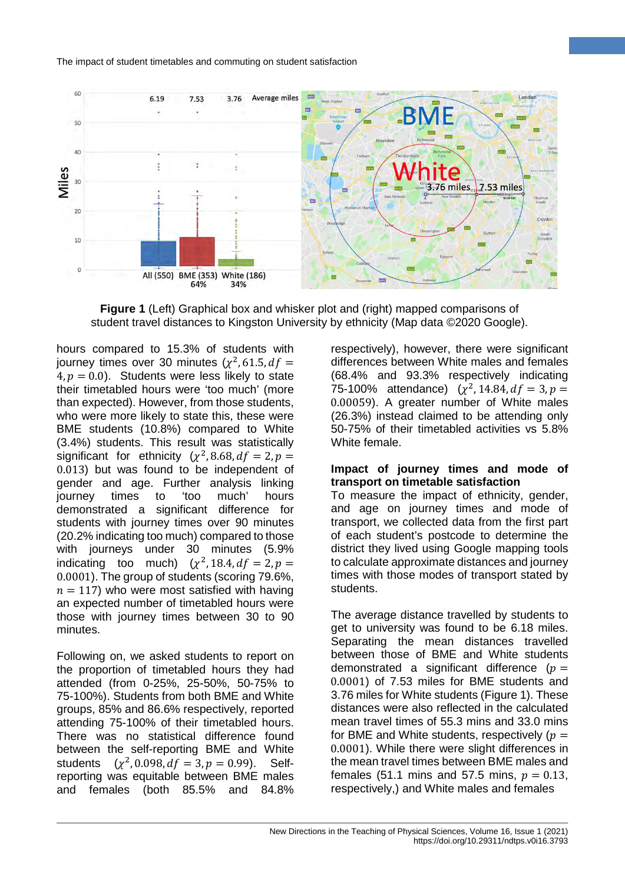

**Figure 1** (Left) Graphical box and whisker plot and (right) mapped comparisons of student travel distances to Kingston University by ethnicity (Map data ©2020 Google).

hours compared to 15.3% of students with journey times over 30 minutes  $(\chi^2, 61.5, df =$  $4, p = 0.0$ ). Students were less likely to state their timetabled hours were 'too much' (more than expected). However, from those students, who were more likely to state this, these were BME students (10.8%) compared to White (3.4%) students. This result was statistically significant for ethnicity  $(\chi^2, 8.68, df = 2, p =$ 0.013) but was found to be independent of gender and age. Further analysis linking journey times to 'too much' hours demonstrated a significant difference for students with journey times over 90 minutes (20.2% indicating too much) compared to those with journeys under 30 minutes (5.9% indicating too much)  $(\chi^2, 18.4, df = 2, p =$ 0.0001). The group of students (scoring 79.6%,  $n = 117$ ) who were most satisfied with having an expected number of timetabled hours were those with journey times between 30 to 90 minutes.

Following on, we asked students to report on the proportion of timetabled hours they had attended (from 0-25%, 25-50%, 50-75% to 75-100%). Students from both BME and White groups, 85% and 86.6% respectively, reported attending 75-100% of their timetabled hours. There was no statistical difference found between the self-reporting BME and White students  $(y^2, 0.098, df = 3, p = 0.99)$ . Selfreporting was equitable between BME males and females (both 85.5% and 84.8%

respectively), however, there were significant differences between White males and females (68.4% and 93.3% respectively indicating 75-100% attendance)  $(\chi^2, 14.84, df = 3, p =$ 0.00059). A greater number of White males (26.3%) instead claimed to be attending only 50-75% of their timetabled activities vs 5.8% White female.

**4**

#### **Impact of journey times and mode of transport on timetable satisfaction**

To measure the impact of ethnicity, gender, and age on journey times and mode of transport, we collected data from the first part of each student's postcode to determine the district they lived using Google mapping tools to calculate approximate distances and journey times with those modes of transport stated by students.

The average distance travelled by students to get to university was found to be 6.18 miles. Separating the mean distances travelled between those of BME and White students demonstrated a significant difference  $(p =$ 0.0001) of 7.53 miles for BME students and 3.76 miles for White students (Figure 1). These distances were also reflected in the calculated mean travel times of 55.3 mins and 33.0 mins for BME and White students, respectively ( $p =$ 0.0001). While there were slight differences in the mean travel times between BME males and females (51.1 mins and 57.5 mins,  $p = 0.13$ , respectively,) and White males and females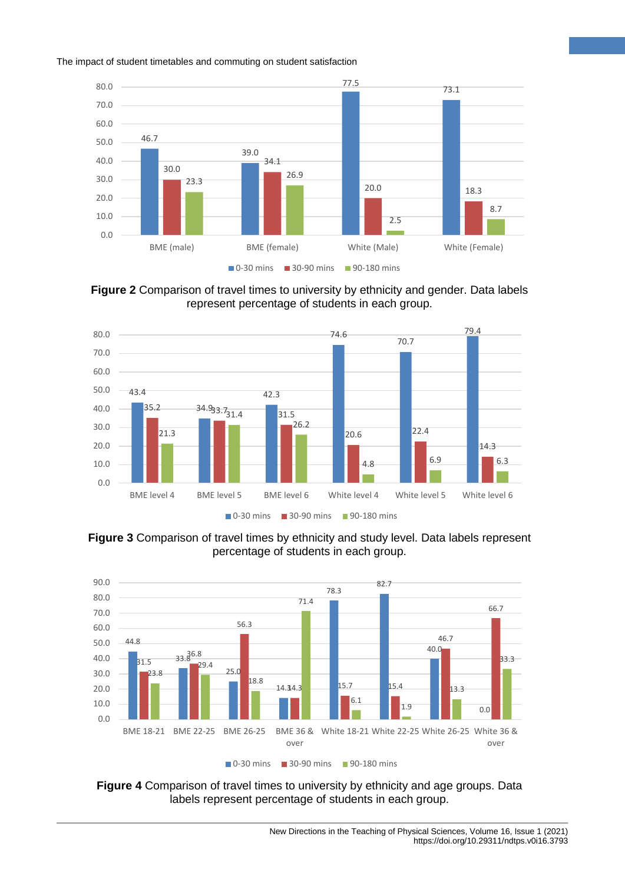

**5**

**Figure 2** Comparison of travel times to university by ethnicity and gender. Data labels represent percentage of students in each group.



**Figure 3** Comparison of travel times by ethnicity and study level. Data labels represent percentage of students in each group.



**Figure 4** Comparison of travel times to university by ethnicity and age groups. Data labels represent percentage of students in each group.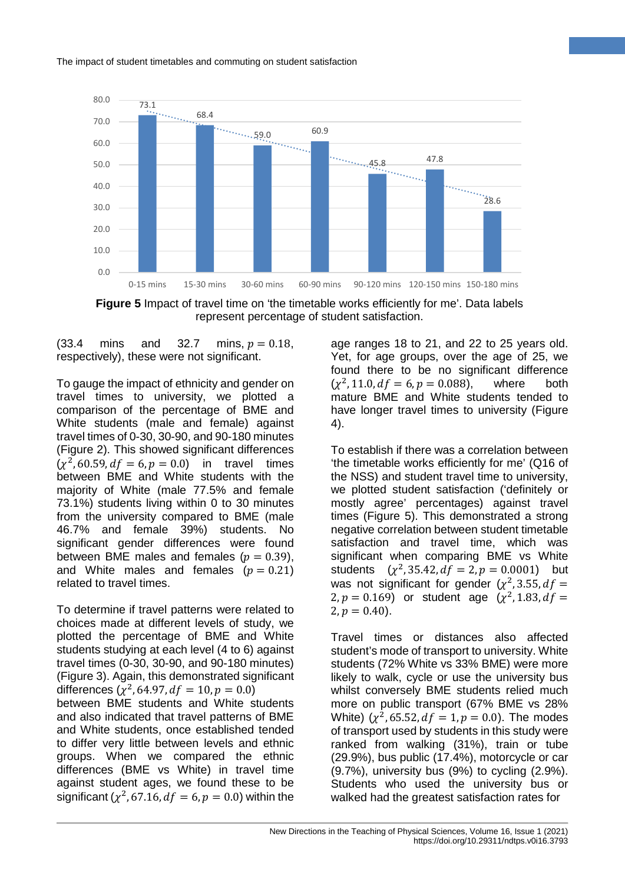

**Figure 5** Impact of travel time on 'the timetable works efficiently for me'. Data labels represent percentage of student satisfaction.

 $(33.4 \text{ mins} \text{ and } 32.7 \text{ mins}, p = 0.18,$ respectively), these were not significant.

To gauge the impact of ethnicity and gender on travel times to university, we plotted a comparison of the percentage of BME and White students (male and female) against travel times of 0-30, 30-90, and 90-180 minutes (Figure 2). This showed significant differences  $(y^2, 60.59, df = 6, p = 0.0)$  in travel times between BME and White students with the majority of White (male 77.5% and female 73.1%) students living within 0 to 30 minutes from the university compared to BME (male 46.7% and female 39%) students. No significant gender differences were found between BME males and females ( $p = 0.39$ ), and White males and females  $(p = 0.21)$ related to travel times.

To determine if travel patterns were related to choices made at different levels of study, we plotted the percentage of BME and White students studying at each level (4 to 6) against travel times (0-30, 30-90, and 90-180 minutes) (Figure 3). Again, this demonstrated significant differences  $(\chi^2, 64.97, df = 10, p = 0.0)$ between BME students and White students and also indicated that travel patterns of BME and White students, once established tended to differ very little between levels and ethnic groups. When we compared the ethnic differences (BME vs White) in travel time against student ages, we found these to be significant ( $\chi^2$ , 67.16,  $df = 6$ ,  $p = 0.0$ ) within the

age ranges 18 to 21, and 22 to 25 years old. Yet, for age groups, over the age of 25, we found there to be no significant difference  $(\chi^2, 11.0, df = 6, p = 0.088)$ , where both mature BME and White students tended to have longer travel times to university (Figure 4).

**6**

To establish if there was a correlation between 'the timetable works efficiently for me' (Q16 of the NSS) and student travel time to university, we plotted student satisfaction ('definitely or mostly agree' percentages) against travel times (Figure 5). This demonstrated a strong negative correlation between student timetable satisfaction and travel time, which was significant when comparing BME vs White students  $(x^2, 35.42, df = 2, p = 0.0001)$  but was not significant for gender  $(\chi^2, 3.55, df =$ 2,  $p = 0.169$  or student age  $(\chi^2, 1.83, df =$  $2, p = 0.40$ .

Travel times or distances also affected student's mode of transport to university. White students (72% White vs 33% BME) were more likely to walk, cycle or use the university bus whilst conversely BME students relied much more on public transport (67% BME vs 28% White) ( $\chi^2$ , 65.52,  $df = 1$ ,  $p = 0.0$ ). The modes of transport used by students in this study were ranked from walking (31%), train or tube (29.9%), bus public (17.4%), motorcycle or car (9.7%), university bus (9%) to cycling (2.9%). Students who used the university bus or walked had the greatest satisfaction rates for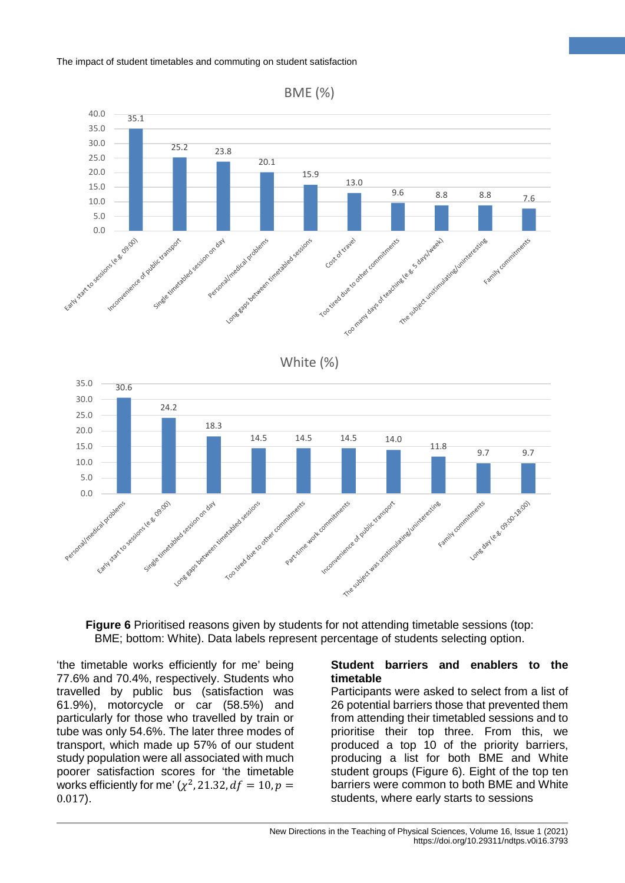



'the timetable works efficiently for me' being 77.6% and 70.4%, respectively. Students who travelled by public bus (satisfaction was 61.9%), motorcycle or car (58.5%) and particularly for those who travelled by train or tube was only 54.6%. The later three modes of transport, which made up 57% of our student study population were all associated with much poorer satisfaction scores for 'the timetable works efficiently for me'  $(\chi^2, 21.32, df = 10, p =$ 0.017).

#### **Student barriers and enablers to the timetable**

**7**

Participants were asked to select from a list of 26 potential barriers those that prevented them from attending their timetabled sessions and to prioritise their top three. From this, we produced a top 10 of the priority barriers, producing a list for both BME and White student groups (Figure 6). Eight of the top ten barriers were common to both BME and White students, where early starts to sessions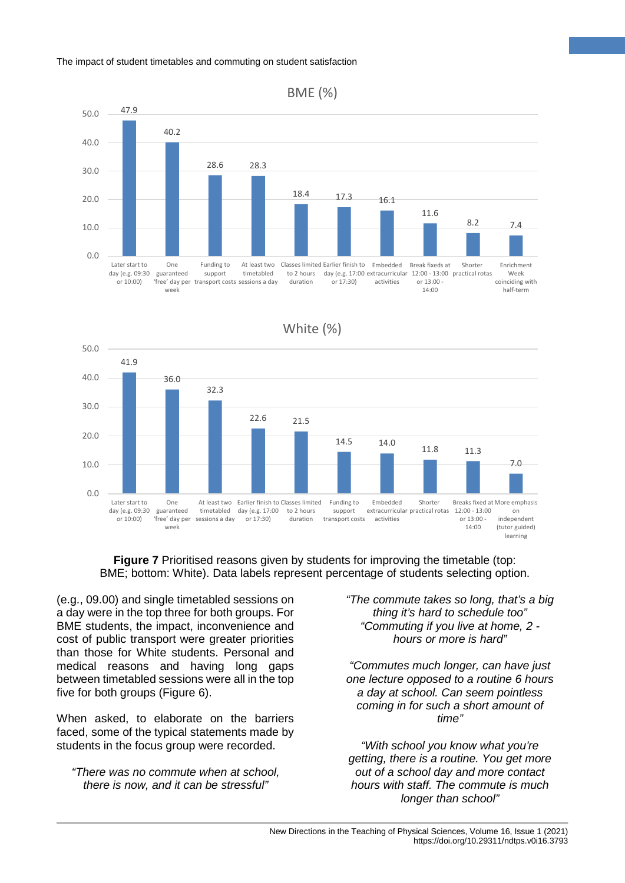





**Figure 7** Prioritised reasons given by students for improving the timetable (top: BME; bottom: White). Data labels represent percentage of students selecting option.

(e.g., 09.00) and single timetabled sessions on a day were in the top three for both groups. For BME students, the impact, inconvenience and cost of public transport were greater priorities than those for White students. Personal and medical reasons and having long gaps between timetabled sessions were all in the top five for both groups (Figure 6).

When asked, to elaborate on the barriers faced, some of the typical statements made by students in the focus group were recorded.

*"There was no commute when at school, there is now, and it can be stressful"*

*"The commute takes so long, that's a big thing it's hard to schedule too" "Commuting if you live at home, 2 hours or more is hard"*

**8**

*"Commutes much longer, can have just one lecture opposed to a routine 6 hours a day at school. Can seem pointless coming in for such a short amount of time"*

*"With school you know what you're getting, there is a routine. You get more out of a school day and more contact hours with staff. The commute is much longer than school"*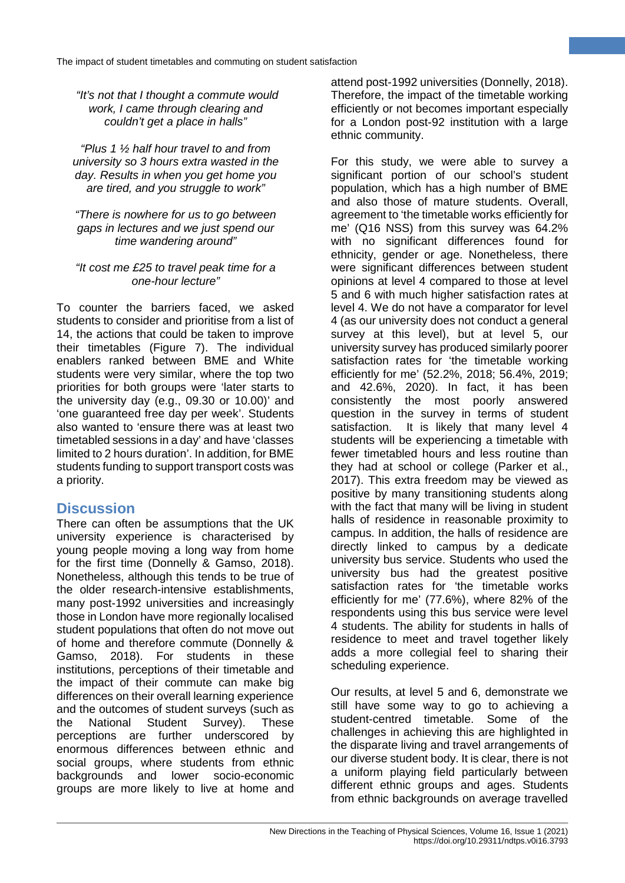*"It's not that I thought a commute would work, I came through clearing and couldn't get a place in halls"*

*"Plus 1 ½ half hour travel to and from university so 3 hours extra wasted in the day. Results in when you get home you are tired, and you struggle to work"* 

*"There is nowhere for us to go between gaps in lectures and we just spend our time wandering around"* 

#### *"It cost me £25 to travel peak time for a one-hour lecture"*

To counter the barriers faced, we asked students to consider and prioritise from a list of 14, the actions that could be taken to improve their timetables (Figure 7). The individual enablers ranked between BME and White students were very similar, where the top two priorities for both groups were 'later starts to the university day (e.g., 09.30 or 10.00)' and 'one guaranteed free day per week'. Students also wanted to 'ensure there was at least two timetabled sessions in a day' and have 'classes limited to 2 hours duration'. In addition, for BME students funding to support transport costs was a priority.

# **Discussion**

There can often be assumptions that the UK university experience is characterised by young people moving a long way from home for the first time (Donnelly & Gamso, 2018). Nonetheless, although this tends to be true of the older research-intensive establishments, many post-1992 universities and increasingly those in London have more regionally localised student populations that often do not move out of home and therefore commute (Donnelly & Gamso, 2018). For students in these institutions, perceptions of their timetable and the impact of their commute can make big differences on their overall learning experience and the outcomes of student surveys (such as the National Student Survey). These perceptions are further underscored by enormous differences between ethnic and social groups, where students from ethnic backgrounds and lower socio-economic groups are more likely to live at home and attend post-1992 universities (Donnelly, 2018). Therefore, the impact of the timetable working efficiently or not becomes important especially for a London post-92 institution with a large ethnic community.

**9**

For this study, we were able to survey a significant portion of our school's student population, which has a high number of BME and also those of mature students. Overall, agreement to 'the timetable works efficiently for me' (Q16 NSS) from this survey was 64.2% with no significant differences found for ethnicity, gender or age. Nonetheless, there were significant differences between student opinions at level 4 compared to those at level 5 and 6 with much higher satisfaction rates at level 4. We do not have a comparator for level 4 (as our university does not conduct a general survey at this level), but at level 5, our university survey has produced similarly poorer satisfaction rates for 'the timetable working efficiently for me' (52.2%, 2018; 56.4%, 2019; and 42.6%, 2020). In fact, it has been consistently the most poorly answered question in the survey in terms of student satisfaction. It is likely that many level 4 students will be experiencing a timetable with fewer timetabled hours and less routine than they had at school or college (Parker et al., 2017). This extra freedom may be viewed as positive by many transitioning students along with the fact that many will be living in student halls of residence in reasonable proximity to campus. In addition, the halls of residence are directly linked to campus by a dedicate university bus service. Students who used the university bus had the greatest positive satisfaction rates for 'the timetable works efficiently for me' (77.6%), where 82% of the respondents using this bus service were level 4 students. The ability for students in halls of residence to meet and travel together likely adds a more collegial feel to sharing their scheduling experience.

Our results, at level 5 and 6, demonstrate we still have some way to go to achieving a student-centred timetable. Some of the challenges in achieving this are highlighted in the disparate living and travel arrangements of our diverse student body. It is clear, there is not a uniform playing field particularly between different ethnic groups and ages. Students from ethnic backgrounds on average travelled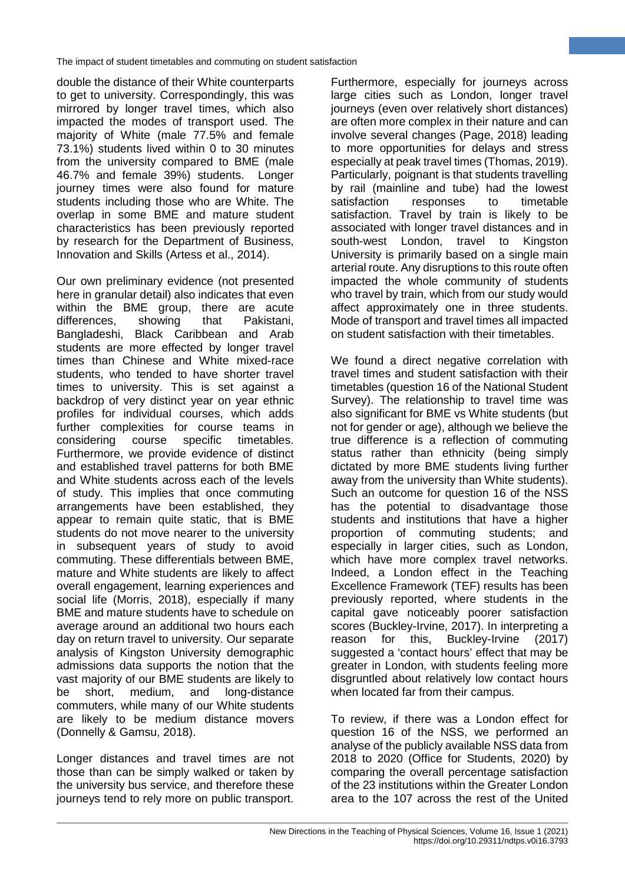double the distance of their White counterparts to get to university. Correspondingly, this was mirrored by longer travel times, which also impacted the modes of transport used. The majority of White (male 77.5% and female 73.1%) students lived within 0 to 30 minutes from the university compared to BME (male 46.7% and female 39%) students. Longer journey times were also found for mature students including those who are White. The overlap in some BME and mature student characteristics has been previously reported by research for the Department of Business, Innovation and Skills (Artess et al., 2014).

Our own preliminary evidence (not presented here in granular detail) also indicates that even within the BME group, there are acute differences, showing that Pakistani, Bangladeshi, Black Caribbean and Arab students are more effected by longer travel times than Chinese and White mixed-race students, who tended to have shorter travel times to university. This is set against a backdrop of very distinct year on year ethnic profiles for individual courses, which adds further complexities for course teams in considering course specific timetables. Furthermore, we provide evidence of distinct and established travel patterns for both BME and White students across each of the levels of study. This implies that once commuting arrangements have been established, they appear to remain quite static, that is BME students do not move nearer to the university in subsequent years of study to avoid commuting. These differentials between BME, mature and White students are likely to affect overall engagement, learning experiences and social life (Morris, 2018), especially if many BME and mature students have to schedule on average around an additional two hours each day on return travel to university. Our separate analysis of Kingston University demographic admissions data supports the notion that the vast majority of our BME students are likely to be short, medium, and long-distance commuters, while many of our White students are likely to be medium distance movers (Donnelly & Gamsu, 2018).

Longer distances and travel times are not those than can be simply walked or taken by the university bus service, and therefore these journeys tend to rely more on public transport.

Furthermore, especially for journeys across large cities such as London, longer travel journeys (even over relatively short distances) are often more complex in their nature and can involve several changes (Page, 2018) leading to more opportunities for delays and stress especially at peak travel times (Thomas, 2019). Particularly, poignant is that students travelling by rail (mainline and tube) had the lowest satisfaction responses to timetable satisfaction. Travel by train is likely to be associated with longer travel distances and in south-west London, travel to Kingston University is primarily based on a single main arterial route. Any disruptions to this route often impacted the whole community of students who travel by train, which from our study would affect approximately one in three students. Mode of transport and travel times all impacted on student satisfaction with their timetables.

**10**

We found a direct negative correlation with travel times and student satisfaction with their timetables (question 16 of the National Student Survey). The relationship to travel time was also significant for BME vs White students (but not for gender or age), although we believe the true difference is a reflection of commuting status rather than ethnicity (being simply dictated by more BME students living further away from the university than White students). Such an outcome for question 16 of the NSS has the potential to disadvantage those students and institutions that have a higher proportion of commuting students; and especially in larger cities, such as London, which have more complex travel networks. Indeed, a London effect in the Teaching Excellence Framework (TEF) results has been previously reported, where students in the capital gave noticeably poorer satisfaction scores (Buckley-Irvine, 2017). In interpreting a reason for this, Buckley-Irvine (2017) suggested a 'contact hours' effect that may be greater in London, with students feeling more disgruntled about relatively low contact hours when located far from their campus.

To review, if there was a London effect for question 16 of the NSS, we performed an analyse of the publicly available NSS data from 2018 to 2020 (Office for Students, 2020) by comparing the overall percentage satisfaction of the 23 institutions within the Greater London area to the 107 across the rest of the United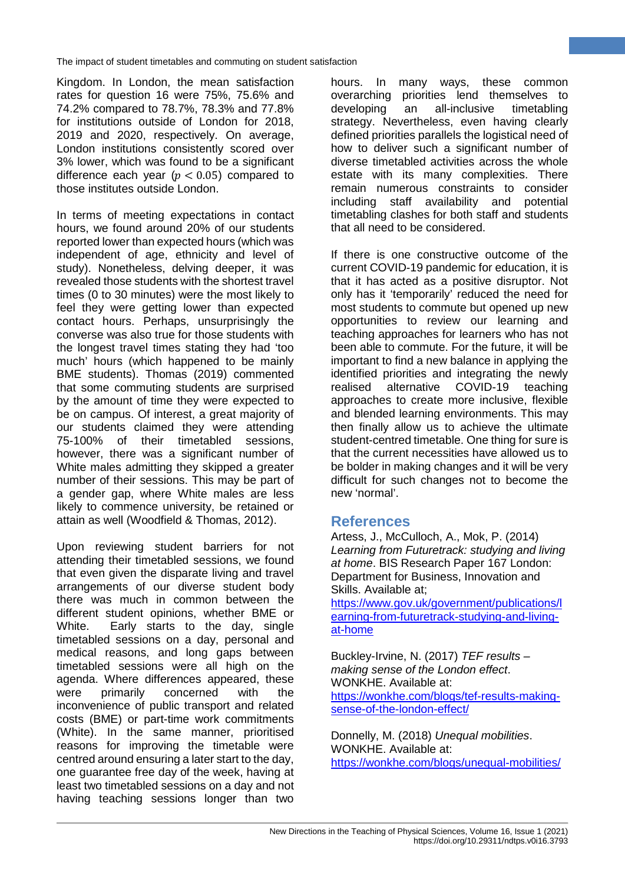Kingdom. In London, the mean satisfaction rates for question 16 were 75%, 75.6% and 74.2% compared to 78.7%, 78.3% and 77.8% for institutions outside of London for 2018, 2019 and 2020, respectively. On average, London institutions consistently scored over 3% lower, which was found to be a significant difference each year ( $p < 0.05$ ) compared to those institutes outside London.

In terms of meeting expectations in contact hours, we found around 20% of our students reported lower than expected hours (which was independent of age, ethnicity and level of study). Nonetheless, delving deeper, it was revealed those students with the shortest travel times (0 to 30 minutes) were the most likely to feel they were getting lower than expected contact hours. Perhaps, unsurprisingly the converse was also true for those students with the longest travel times stating they had 'too much' hours (which happened to be mainly BME students). Thomas (2019) commented that some commuting students are surprised by the amount of time they were expected to be on campus. Of interest, a great majority of our students claimed they were attending 75-100% of their timetabled sessions, however, there was a significant number of White males admitting they skipped a greater number of their sessions. This may be part of a gender gap, where White males are less likely to commence university, be retained or attain as well (Woodfield & Thomas, 2012).

Upon reviewing student barriers for not attending their timetabled sessions, we found that even given the disparate living and travel arrangements of our diverse student body there was much in common between the different student opinions, whether BME or White. Early starts to the day, single timetabled sessions on a day, personal and medical reasons, and long gaps between timetabled sessions were all high on the agenda. Where differences appeared, these were primarily concerned with the inconvenience of public transport and related costs (BME) or part-time work commitments (White). In the same manner, prioritised reasons for improving the timetable were centred around ensuring a later start to the day, one guarantee free day of the week, having at least two timetabled sessions on a day and not having teaching sessions longer than two

hours. In many ways, these common overarching priorities lend themselves to developing an all-inclusive timetabling strategy. Nevertheless, even having clearly defined priorities parallels the logistical need of how to deliver such a significant number of diverse timetabled activities across the whole estate with its many complexities. There remain numerous constraints to consider including staff availability and potential timetabling clashes for both staff and students that all need to be considered.

**11**

If there is one constructive outcome of the current COVID-19 pandemic for education, it is that it has acted as a positive disruptor. Not only has it 'temporarily' reduced the need for most students to commute but opened up new opportunities to review our learning and teaching approaches for learners who has not been able to commute. For the future, it will be important to find a new balance in applying the identified priorities and integrating the newly realised alternative COVID-19 teaching approaches to create more inclusive, flexible and blended learning environments. This may then finally allow us to achieve the ultimate student-centred timetable. One thing for sure is that the current necessities have allowed us to be bolder in making changes and it will be very difficult for such changes not to become the new 'normal'.

# **References**

Artess, J., McCulloch, A., Mok, P. (2014) *Learning from Futuretrack: studying and living at home*. BIS Research Paper 167 London: Department for Business, Innovation and Skills. Available at;

[https://www.gov.uk/government/publications/l](https://www.gov.uk/government/publications/learning-from-futuretrack-studying-and-living-at-home) [earning-from-futuretrack-studying-and-living](https://www.gov.uk/government/publications/learning-from-futuretrack-studying-and-living-at-home)[at-home](https://www.gov.uk/government/publications/learning-from-futuretrack-studying-and-living-at-home) 

Buckley-Irvine, N. (2017) *TEF results – making sense of the London effect*. WONKHE. Available at: [https://wonkhe.com/blogs/tef-results-making](https://wonkhe.com/blogs/tef-results-making-sense-of-the-london-effect/)[sense-of-the-london-effect/](https://wonkhe.com/blogs/tef-results-making-sense-of-the-london-effect/) 

Donnelly, M. (2018) *Unequal mobilities*. WONKHE. Available at: <https://wonkhe.com/blogs/unequal-mobilities/>